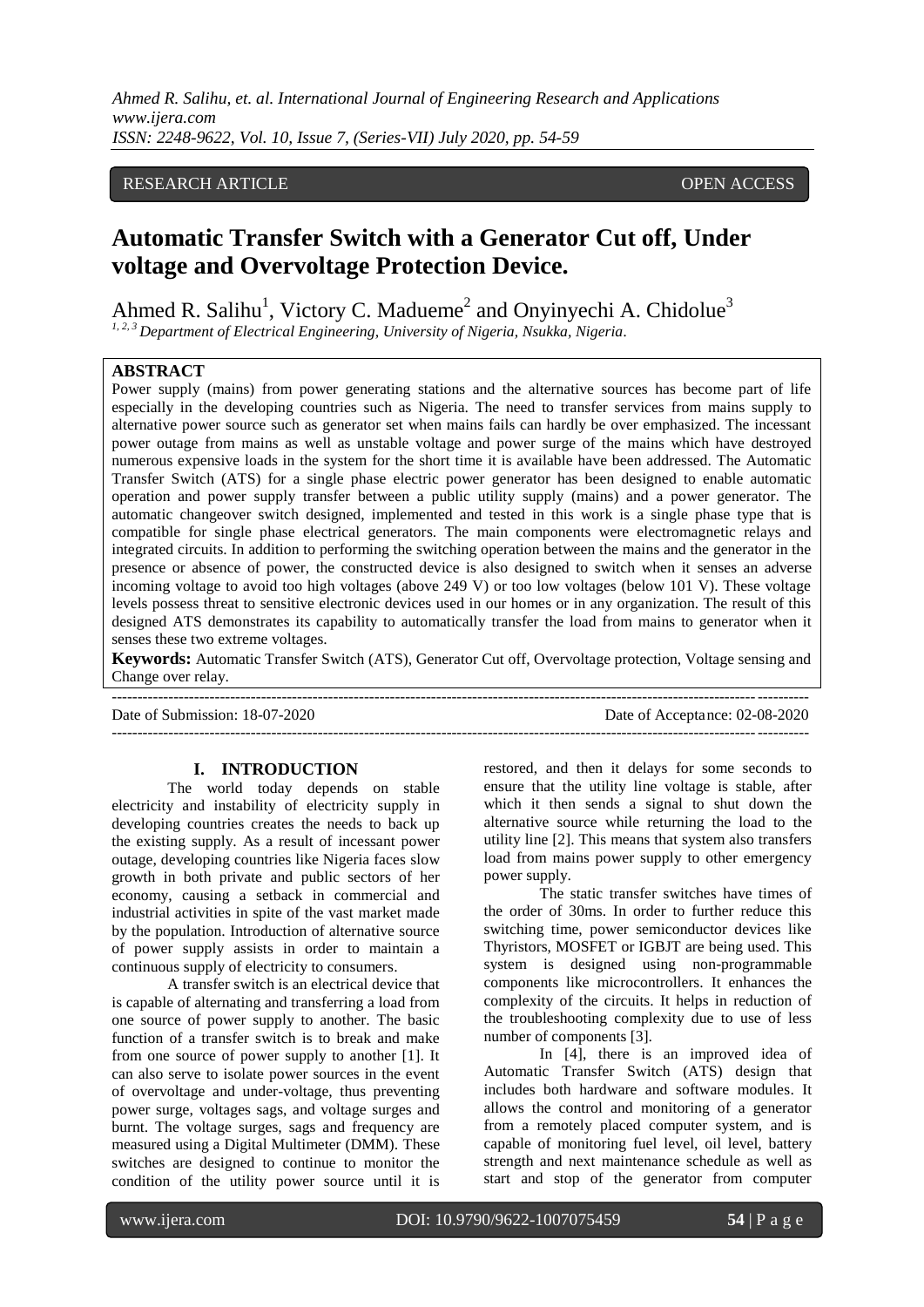*Ahmed R. Salihu, et. al. International Journal of Engineering Research and Applications www.ijera.com ISSN: 2248-9622, Vol. 10, Issue 7, (Series-VII) July 2020, pp. 54-59*

# RESEARCH ARTICLE **CONSERVERS** OPEN ACCESS

# **Automatic Transfer Switch with a Generator Cut off, Under voltage and Overvoltage Protection Device.**

Ahmed R. Salihu<sup>1</sup>, Victory C. Madueme<sup>2</sup> and Onyinyechi A. Chidolue<sup>3</sup>

*1, 2, 3 Department of Electrical Engineering, University of Nigeria, Nsukka, Nigeria.*

## **ABSTRACT**

Power supply (mains) from power generating stations and the alternative sources has become part of life especially in the developing countries such as Nigeria. The need to transfer services from mains supply to alternative power source such as generator set when mains fails can hardly be over emphasized. The incessant power outage from mains as well as unstable voltage and power surge of the mains which have destroyed numerous expensive loads in the system for the short time it is available have been addressed. The Automatic Transfer Switch (ATS) for a single phase electric power generator has been designed to enable automatic operation and power supply transfer between a public utility supply (mains) and a power generator. The automatic changeover switch designed, implemented and tested in this work is a single phase type that is compatible for single phase electrical generators. The main components were electromagnetic relays and integrated circuits. In addition to performing the switching operation between the mains and the generator in the presence or absence of power, the constructed device is also designed to switch when it senses an adverse incoming voltage to avoid too high voltages (above 249 V) or too low voltages (below 101 V). These voltage levels possess threat to sensitive electronic devices used in our homes or in any organization. The result of this designed ATS demonstrates its capability to automatically transfer the load from mains to generator when it senses these two extreme voltages.

**Keywords:** Automatic Transfer Switch (ATS), Generator Cut off, Overvoltage protection, Voltage sensing and Change over relay. ---------------------------------------------------------------------------------------------------------------------------------------

---------------------------------------------------------------------------------------------------------------------------------------

Date of Submission: 18-07-2020 Date of Acceptance: 02-08-2020

#### **I. INTRODUCTION**

The world today depends on stable electricity and instability of electricity supply in developing countries creates the needs to back up the existing supply. As a result of incessant power outage, developing countries like Nigeria faces slow growth in both private and public sectors of her economy, causing a setback in commercial and industrial activities in spite of the vast market made by the population. Introduction of alternative source of power supply assists in order to maintain a continuous supply of electricity to consumers.

A transfer switch is an electrical device that is capable of alternating and transferring a load from one source of power supply to another. The basic function of a transfer switch is to break and make from one source of power supply to another [1]. It can also serve to isolate power sources in the event of overvoltage and under-voltage, thus preventing power surge, voltages sags, and voltage surges and burnt. The voltage surges, sags and frequency are measured using a Digital Multimeter (DMM). These switches are designed to continue to monitor the condition of the utility power source until it is restored, and then it delays for some seconds to ensure that the utility line voltage is stable, after which it then sends a signal to shut down the alternative source while returning the load to the utility line [2]. This means that system also transfers load from mains power supply to other emergency power supply.

The static transfer switches have times of the order of 30ms. In order to further reduce this switching time, power semiconductor devices like Thyristors, MOSFET or IGBJT are being used. This system is designed using non-programmable components like microcontrollers. It enhances the complexity of the circuits. It helps in reduction of the troubleshooting complexity due to use of less number of components [3].

In [4], there is an improved idea of Automatic Transfer Switch (ATS) design that includes both hardware and software modules. It allows the control and monitoring of a generator from a remotely placed computer system, and is capable of monitoring fuel level, oil level, battery strength and next maintenance schedule as well as start and stop of the generator from computer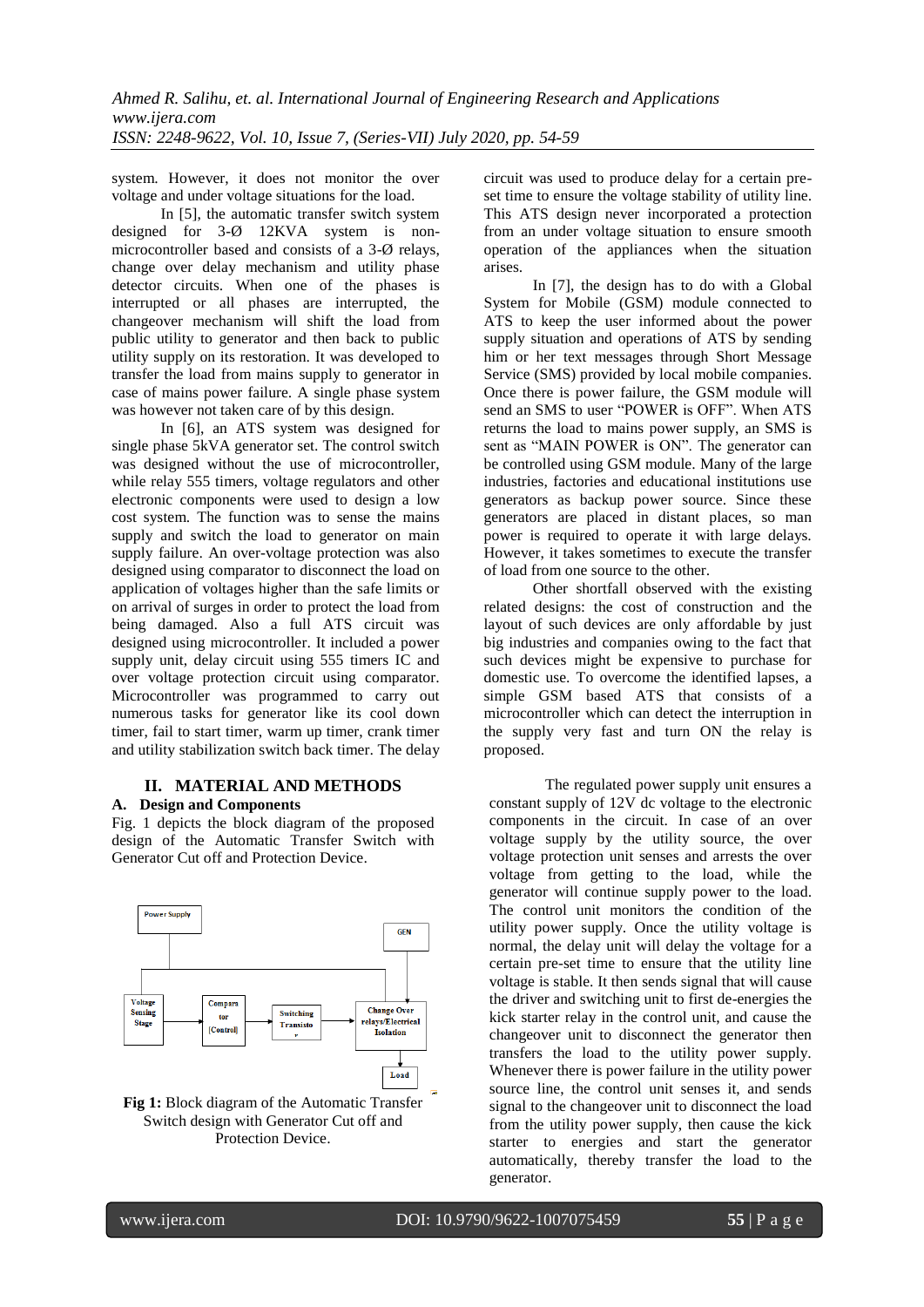system. However, it does not monitor the over voltage and under voltage situations for the load.

In [5], the automatic transfer switch system designed for 3-Ø 12KVA system is nonmicrocontroller based and consists of a 3-Ø relays, change over delay mechanism and utility phase detector circuits. When one of the phases is interrupted or all phases are interrupted, the changeover mechanism will shift the load from public utility to generator and then back to public utility supply on its restoration. It was developed to transfer the load from mains supply to generator in case of mains power failure. A single phase system was however not taken care of by this design.

In [6], an ATS system was designed for single phase 5kVA generator set. The control switch was designed without the use of microcontroller, while relay 555 timers, voltage regulators and other electronic components were used to design a low cost system. The function was to sense the mains supply and switch the load to generator on main supply failure. An over-voltage protection was also designed using comparator to disconnect the load on application of voltages higher than the safe limits or on arrival of surges in order to protect the load from being damaged. Also a full ATS circuit was designed using microcontroller. It included a power supply unit, delay circuit using 555 timers IC and over voltage protection circuit using comparator. Microcontroller was programmed to carry out numerous tasks for generator like its cool down timer, fail to start timer, warm up timer, crank timer and utility stabilization switch back timer. The delay

#### **II. MATERIAL AND METHODS A. Design and Components**

Fig. 1 depicts the block diagram of the proposed design of the Automatic Transfer Switch with Generator Cut off and Protection Device.





circuit was used to produce delay for a certain preset time to ensure the voltage stability of utility line. This ATS design never incorporated a protection from an under voltage situation to ensure smooth operation of the appliances when the situation arises.

In [7], the design has to do with a Global System for Mobile (GSM) module connected to ATS to keep the user informed about the power supply situation and operations of ATS by sending him or her text messages through Short Message Service (SMS) provided by local mobile companies. Once there is power failure, the GSM module will send an SMS to user "POWER is OFF". When ATS returns the load to mains power supply, an SMS is sent as "MAIN POWER is ON". The generator can be controlled using GSM module. Many of the large industries, factories and educational institutions use generators as backup power source. Since these generators are placed in distant places, so man power is required to operate it with large delays. However, it takes sometimes to execute the transfer of load from one source to the other.

Other shortfall observed with the existing related designs: the cost of construction and the layout of such devices are only affordable by just big industries and companies owing to the fact that such devices might be expensive to purchase for domestic use. To overcome the identified lapses, a simple GSM based ATS that consists of a microcontroller which can detect the interruption in the supply very fast and turn ON the relay is proposed.

The regulated power supply unit ensures a constant supply of 12V dc voltage to the electronic components in the circuit. In case of an over voltage supply by the utility source, the over voltage protection unit senses and arrests the over voltage from getting to the load, while the generator will continue supply power to the load. The control unit monitors the condition of the utility power supply. Once the utility voltage is normal, the delay unit will delay the voltage for a certain pre-set time to ensure that the utility line voltage is stable. It then sends signal that will cause the driver and switching unit to first de-energies the kick starter relay in the control unit, and cause the changeover unit to disconnect the generator then transfers the load to the utility power supply. Whenever there is power failure in the utility power source line, the control unit senses it, and sends signal to the changeover unit to disconnect the load from the utility power supply, then cause the kick starter to energies and start the generator automatically, thereby transfer the load to the generator.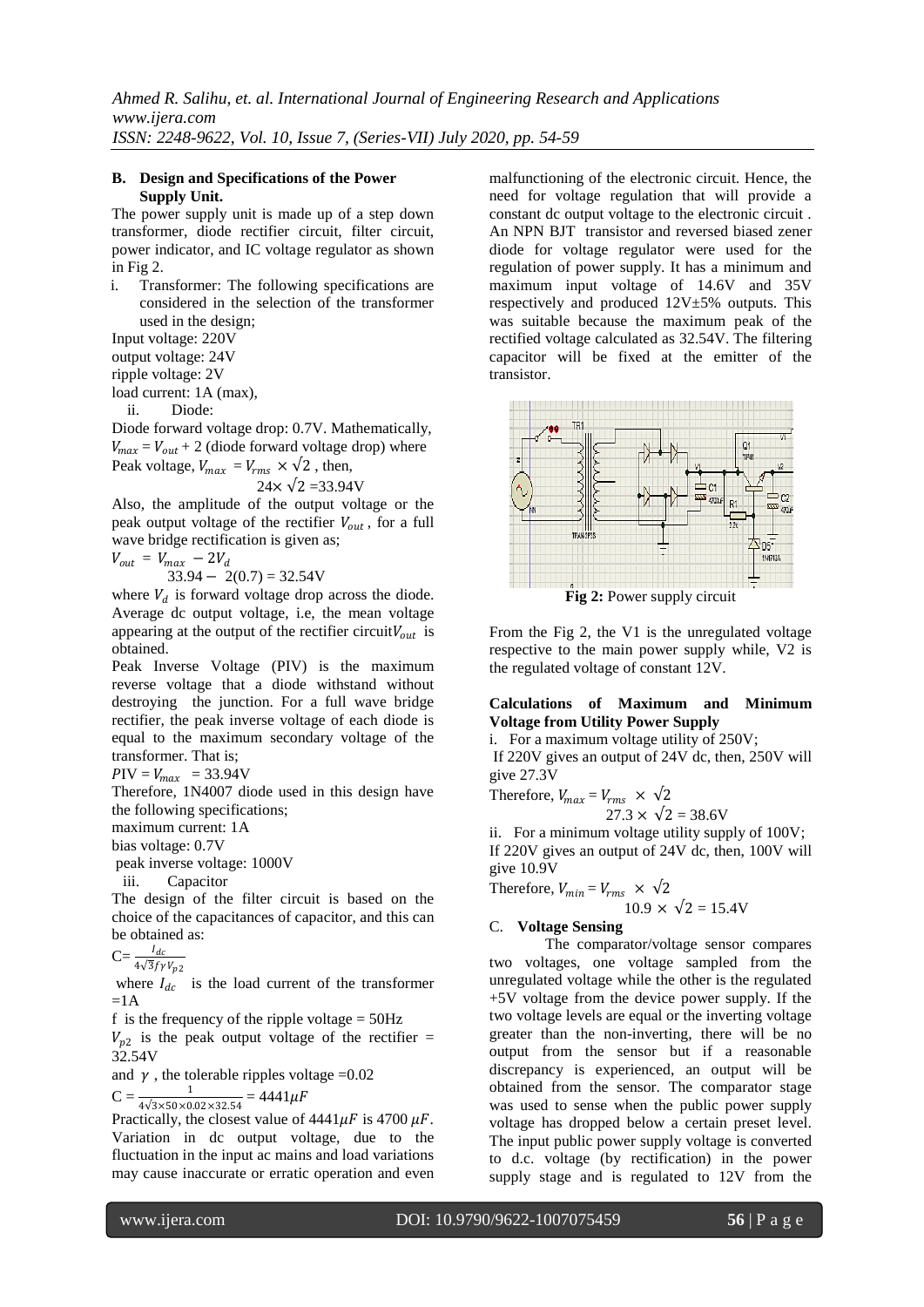## **B. Design and Specifications of the Power Supply Unit.**

The power supply unit is made up of a step down transformer, diode rectifier circuit, filter circuit, power indicator, and IC voltage regulator as shown in Fig 2.

i. Transformer: The following specifications are considered in the selection of the transformer used in the design;

Input voltage: 220V

output voltage: 24V

ripple voltage: 2V

load current: 1A (max),

ii. Diode:

Diode forward voltage drop: 0.7V. Mathematically,  $V_{max} = V_{out} + 2$  (diode forward voltage drop) where Peak voltage,  $V_{max} = V_{rms} \times \sqrt{2}$ , then,

$$
24 \times \sqrt{2} = 33.94
$$
 V

Also, the amplitude of the output voltage or the peak output voltage of the rectifier  $V_{out}$ , for a full wave bridge rectification is given as;

$$
V_{out} = V_{max} - 2V_d
$$

 $33.94 - 2(0.7) = 32.54V$ 

where  $V_d$  is forward voltage drop across the diode. Average dc output voltage, i.e, the mean voltage appearing at the output of the rectifier circuit  $V_{out}$  is obtained.

Peak Inverse Voltage (PIV) is the maximum reverse voltage that a diode withstand without destroying the junction. For a full wave bridge rectifier, the peak inverse voltage of each diode is equal to the maximum secondary voltage of the transformer. That is;

 $PIV = V_{max}$  = 33.94V

Therefore, 1N4007 diode used in this design have the following specifications;

maximum current: 1A

bias voltage: 0.7V

peak inverse voltage: 1000V

iii. Capacitor

The design of the filter circuit is based on the choice of the capacitances of capacitor, and this can be obtained as:

 $C=\frac{I_{dc}}{4\sqrt{3}f\gamma V_{p2}}$ 

where  $I_{dc}$  is the load current of the transformer  $=1A$ 

f is the frequency of the ripple voltage  $= 50$ Hz

 $V_{p2}$  is the peak output voltage of the rectifier = 32.54V

and  $\gamma$ , the tolerable ripples voltage = 0.02

$$
C = \frac{1}{4\sqrt{2 \times 50 \times 0.92 \times 22.54}} = 4441 \mu F
$$

 $4\sqrt{3}\times50\times0.02\times32.54$  Practically, the closest value of  $4441\mu$ F is 4700  $\mu$ F. Variation in dc output voltage, due to the fluctuation in the input ac mains and load variations may cause inaccurate or erratic operation and even

malfunctioning of the electronic circuit. Hence, the need for voltage regulation that will provide a constant dc output voltage to the electronic circuit . An NPN BJT transistor and reversed biased zener diode for voltage regulator were used for the regulation of power supply. It has a minimum and maximum input voltage of 14.6V and 35V respectively and produced  $12V±5%$  outputs. This was suitable because the maximum peak of the rectified voltage calculated as 32.54V. The filtering capacitor will be fixed at the emitter of the transistor.



**Fig 2:** Power supply circuit

From the Fig 2, the V1 is the unregulated voltage respective to the main power supply while, V2 is the regulated voltage of constant 12V.

## **Calculations of Maximum and Minimum Voltage from Utility Power Supply**

i. For a maximum voltage utility of 250V;

If 220V gives an output of 24V dc, then, 250V will give 27.3V

Therefore,  $V_{max} = V_{rms} \times \sqrt{2}$  $27.3 \times \sqrt{2} = 38.6$ V

ii. For a minimum voltage utility supply of 100V; If 220V gives an output of 24V dc, then, 100V will give 10.9V

Therefore, 
$$
V_{min} = V_{rms} \times \sqrt{2}
$$

$$
10.9 \times \sqrt{2} = 15.4
$$
V

## C. **Voltage Sensing**

The comparator/voltage sensor compares two voltages, one voltage sampled from the unregulated voltage while the other is the regulated +5V voltage from the device power supply. If the two voltage levels are equal or the inverting voltage greater than the non-inverting, there will be no output from the sensor but if a reasonable discrepancy is experienced, an output will be obtained from the sensor. The comparator stage was used to sense when the public power supply voltage has dropped below a certain preset level. The input public power supply voltage is converted to d.c. voltage (by rectification) in the power supply stage and is regulated to 12V from the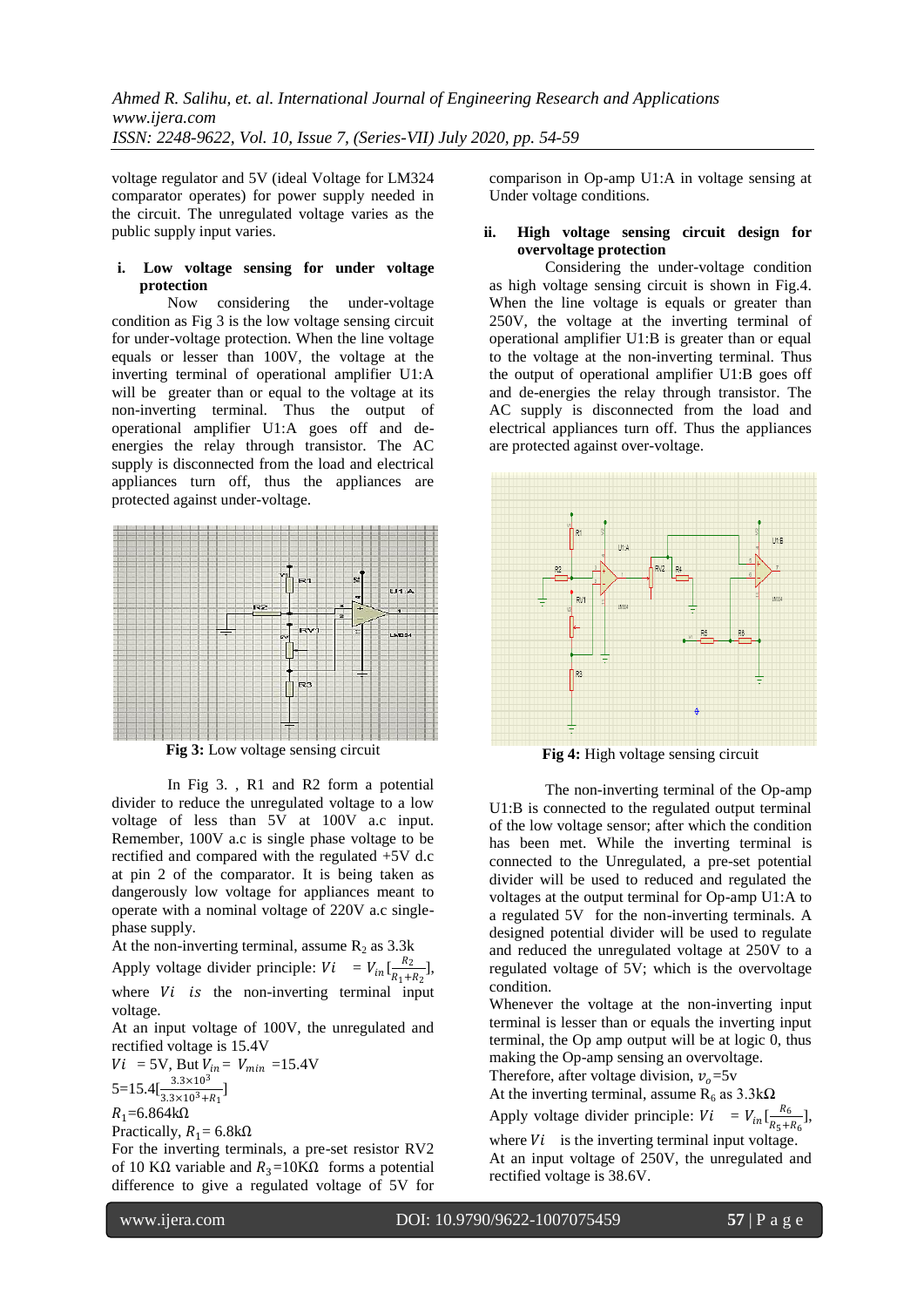voltage regulator and 5V (ideal Voltage for LM324 comparator operates) for power supply needed in the circuit. The unregulated voltage varies as the public supply input varies.

## **i. Low voltage sensing for under voltage protection**

Now considering the under-voltage condition as Fig 3 is the low voltage sensing circuit for under-voltage protection. When the line voltage equals or lesser than 100V, the voltage at the inverting terminal of operational amplifier U1:A will be greater than or equal to the voltage at its non-inverting terminal. Thus the output of operational amplifier U1:A goes off and deenergies the relay through transistor. The AC supply is disconnected from the load and electrical appliances turn off, thus the appliances are protected against under-voltage.



**Fig 3:** Low voltage sensing circuit

In Fig 3. , R1 and R2 form a potential divider to reduce the unregulated voltage to a low voltage of less than 5V at 100V a.c input. Remember, 100V a.c is single phase voltage to be rectified and compared with the regulated +5V d.c at pin 2 of the comparator. It is being taken as dangerously low voltage for appliances meant to operate with a nominal voltage of 220V a.c singlephase supply.

At the non-inverting terminal, assume  $R_2$  as 3.3k Apply voltage divider principle:  $Vi = V_{in} \left[\frac{R_2}{R_1 + R_2}\right]$  $\frac{R_2}{R_1+R_2}$ , where  $Vi$  is the non-inverting terminal input voltage.

At an input voltage of 100V, the unregulated and rectified voltage is 15.4V

 $Vi = 5V$ , But  $V_{in} = V_{min} = 15.4V$  $5=15.4[\frac{3.3\times10^3}{3.3\times10^3+R_1}]$ 

 $R_1$ =6.864kΩ

Practically,  $R_1 = 6.8 \text{k}\Omega$ 

For the inverting terminals, a pre-set resistor RV2 of 10 KΩ variable and  $R_3=10$ KΩ forms a potential difference to give a regulated voltage of 5V for

comparison in Op-amp U1:A in voltage sensing at Under voltage conditions.

## **ii. High voltage sensing circuit design for overvoltage protection**

Considering the under-voltage condition as high voltage sensing circuit is shown in Fig.4. When the line voltage is equals or greater than 250V, the voltage at the inverting terminal of operational amplifier U1:B is greater than or equal to the voltage at the non-inverting terminal. Thus the output of operational amplifier U1:B goes off and de-energies the relay through transistor. The AC supply is disconnected from the load and electrical appliances turn off. Thus the appliances are protected against over-voltage.



**Fig 4:** High voltage sensing circuit

The non-inverting terminal of the Op-amp U1:B is connected to the regulated output terminal of the low voltage sensor; after which the condition has been met. While the inverting terminal is connected to the Unregulated, a pre-set potential divider will be used to reduced and regulated the voltages at the output terminal for Op-amp U1:A to a regulated 5V for the non-inverting terminals. A designed potential divider will be used to regulate and reduced the unregulated voltage at 250V to a regulated voltage of 5V; which is the overvoltage condition.

Whenever the voltage at the non-inverting input terminal is lesser than or equals the inverting input terminal, the Op amp output will be at logic 0, thus making the Op-amp sensing an overvoltage.

Therefore, after voltage division,  $v_0 = 5v$ 

At the inverting terminal, assume  $R_6$  as  $3.3k\Omega$ 

Apply voltage divider principle:  $Vi = V_{in} \left[ \frac{R_{\epsilon}}{R_{\epsilon}+R_{\epsilon}} \right]$  $\frac{R_6}{R_5+R_6}$ ],

where  $Vi$  is the inverting terminal input voltage. At an input voltage of 250V, the unregulated and rectified voltage is 38.6V.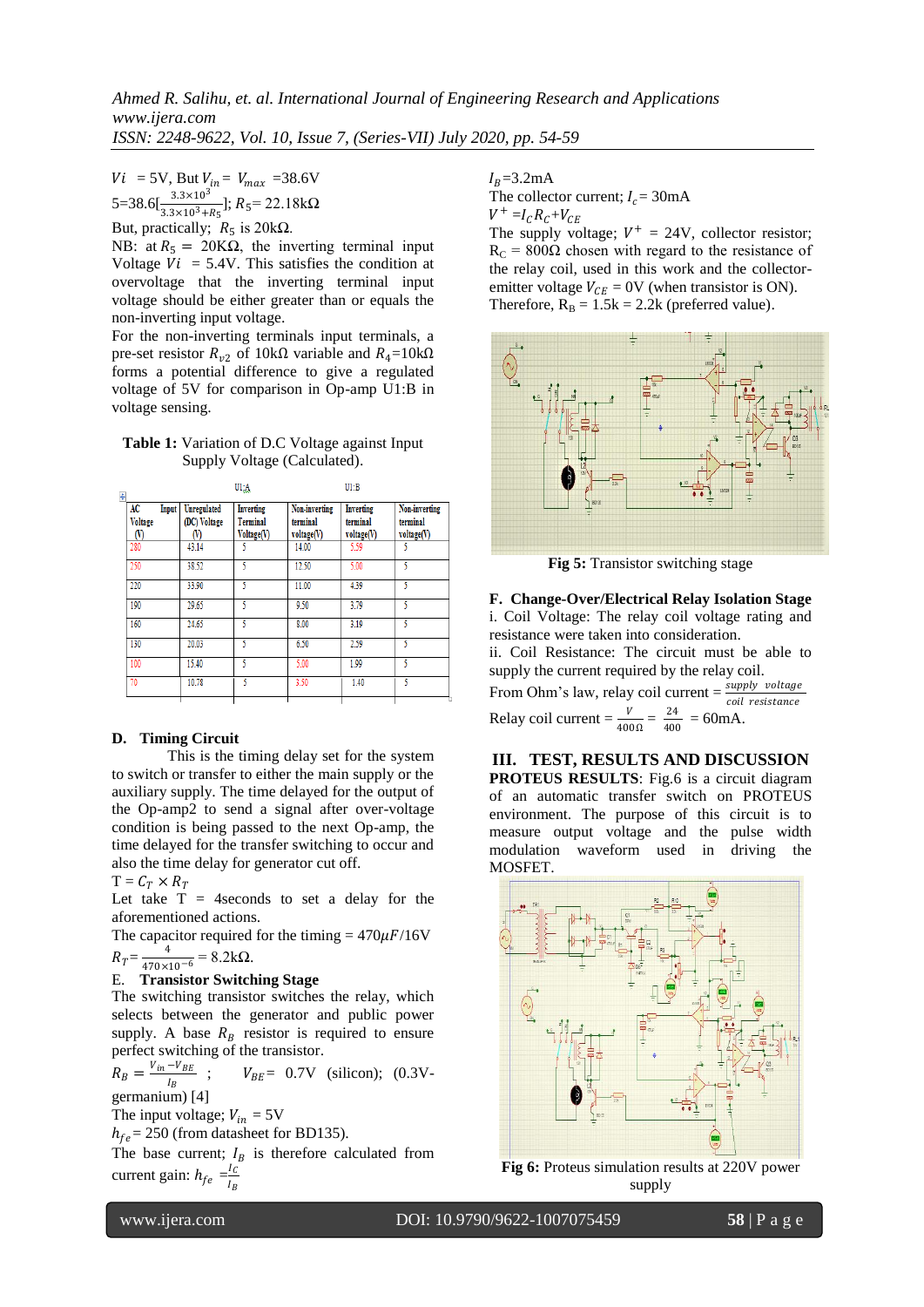$Vi = 5V$ , But  $V_{in} = V_{max} = 38.6V$ 5=38.6[ $\frac{3.3\times10^3}{3.3\times10^3+R_5}$ ]; R<sub>5</sub>= 22.18kΩ

But, practically;  $R_5$  is 20kΩ.

NB: at  $R_5 = 20 \text{K}\Omega$ , the inverting terminal input Voltage  $Vi = 5.4V$ . This satisfies the condition at overvoltage that the inverting terminal input voltage should be either greater than or equals the non-inverting input voltage.

For the non-inverting terminals input terminals, a pre-set resistor  $R_{v2}$  of 10kΩ variable and  $R_4$ =10kΩ forms a potential difference to give a regulated voltage of 5V for comparison in Op-amp U1:B in voltage sensing.

**Table 1:** Variation of D.C Voltage against Input Supply Voltage (Calculated).

| $\ddot{\ddagger}$ |                                            |       |                                   | U1:A                                |                                         | U1:B                                |                                         |  |
|-------------------|--------------------------------------------|-------|-----------------------------------|-------------------------------------|-----------------------------------------|-------------------------------------|-----------------------------------------|--|
|                   | AC<br><b>Voltage</b><br>$\left( 0 \right)$ | Input | Unregulated<br>(DC) Voltage<br>W) | Inverting<br>Terminal<br>Voltage(V) | Non-inverting<br>terminal<br>voltage(V) | Inverting<br>terminal<br>voltage(V) | Non-inverting<br>terminal<br>voltage(V) |  |
|                   | 280                                        |       | 43.14                             |                                     | 14.00                                   | 5.59                                |                                         |  |
|                   | 250                                        |       | 38.52                             | 5                                   | 12.50                                   | 5.00                                | 5                                       |  |
|                   | 220                                        |       | 33.90                             | ٢                                   | 11.00                                   | 4.39                                | 5                                       |  |
|                   | 190                                        |       | 29.65                             | 5                                   | 9.50                                    | 3.79                                | 5                                       |  |
|                   | 160                                        |       | 24.65                             | 5                                   | 8.00                                    | 3.19                                | 5                                       |  |
|                   | 130                                        |       | 20.03                             | 5                                   | 6.50                                    | 2.59                                | 5                                       |  |
|                   | 100                                        |       | 15.40                             | 5                                   | 5.00                                    | 1.99                                | 5                                       |  |
|                   | 70                                         |       | 10.78                             | 5                                   | 3.50                                    | 1.40                                | 5                                       |  |
|                   |                                            |       |                                   |                                     |                                         |                                     |                                         |  |

#### **D. Timing Circuit**

This is the timing delay set for the system to switch or transfer to either the main supply or the auxiliary supply. The time delayed for the output of the Op-amp2 to send a signal after over-voltage condition is being passed to the next Op-amp, the time delayed for the transfer switching to occur and also the time delay for generator cut off.

 $T = C_T \times R_T$ 

Let take  $T = 4$  seconds to set a delay for the aforementioned actions.

The capacitor required for the timing =  $470 \mu$ F/16V  $R_T = \frac{4}{470 \times 10^{14}}$ 

$$
R_T = \frac{4}{470 \times 10^{-6}} = 8.2 \text{k}\Omega.
$$
  
E. **Transistor Switching Stage**

The switching transistor switches the relay, which selects between the generator and public power supply. A base  $R_B$  resistor is required to ensure perfect switching of the transistor.

 $R_B = \frac{V_{in} - V_{BE}}{I_{B}}$ Ι<sub>Β</sub>  $V_{BE}$  = 0.7V (silicon); (0.3Vgermanium) [4]

The input voltage;  $V_{in} = 5V$ 

 $h_{fe}$  = 250 (from datasheet for BD135).

The base current;  $I_B$  is therefore calculated from current gain:  $h_{fe} = \frac{I_C}{I_E}$  $I_B$ 

 $I_R = 3.2$ mA

The collector current;  $I_c = 30 \text{mA}$  $V^+ = I_C R_C + V_{CE}$ 

The supply voltage;  $V^+ = 24V$ , collector resistor;  $R_C = 800\Omega$  chosen with regard to the resistance of the relay coil, used in this work and the collectoremitter voltage  $V_{CE} = 0$ V (when transistor is ON). Therefore,  $R_B = 1.5k = 2.2k$  (preferred value).



**Fig 5:** Transistor switching stage

**F. Change-Over/Electrical Relay Isolation Stage** i. Coil Voltage: The relay coil voltage rating and resistance were taken into consideration.

ii. Coil Resistance: The circuit must be able to supply the current required by the relay coil.

From Ohm's law, relay coil current =  $\frac{supply \ voltage}{coil \ resistance}$ <br>Relay coil current =  $\frac{V}{400 \Omega} = \frac{24}{400} = 60 \text{mA}.$  $\frac{24}{400}$  = 60mA.

**III. TEST, RESULTS AND DISCUSSION PROTEUS RESULTS**: Fig.6 is a circuit diagram of an automatic transfer switch on PROTEUS environment. The purpose of this circuit is to measure output voltage and the pulse width modulation waveform used in driving the MOSFET.



**Fig 6:** Proteus simulation results at 220V power supply